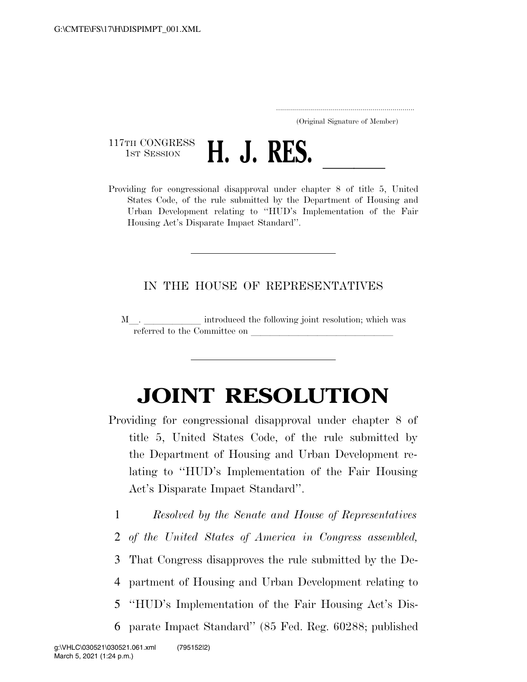..................................................................... (Original Signature of Member)

117TH CONGRESS<br>1st Session



1ST SESSION **H. J. RES.**<br>Providing for congressional disapproval under chapter 8 of title 5, United States Code, of the rule submitted by the Department of Housing and Urban Development relating to ''HUD's Implementation of the Fair Housing Act's Disparate Impact Standard''.

## IN THE HOUSE OF REPRESENTATIVES

M. referred to the Committee on

## **JOINT RESOLUTION**

- Providing for congressional disapproval under chapter 8 of title 5, United States Code, of the rule submitted by the Department of Housing and Urban Development relating to ''HUD's Implementation of the Fair Housing Act's Disparate Impact Standard''.
	- 1 *Resolved by the Senate and House of Representatives*
	- 2 *of the United States of America in Congress assembled,*
	- 3 That Congress disapproves the rule submitted by the De-
	- 4 partment of Housing and Urban Development relating to
	- 5 ''HUD's Implementation of the Fair Housing Act's Dis-
	- 6 parate Impact Standard'' (85 Fed. Reg. 60288; published